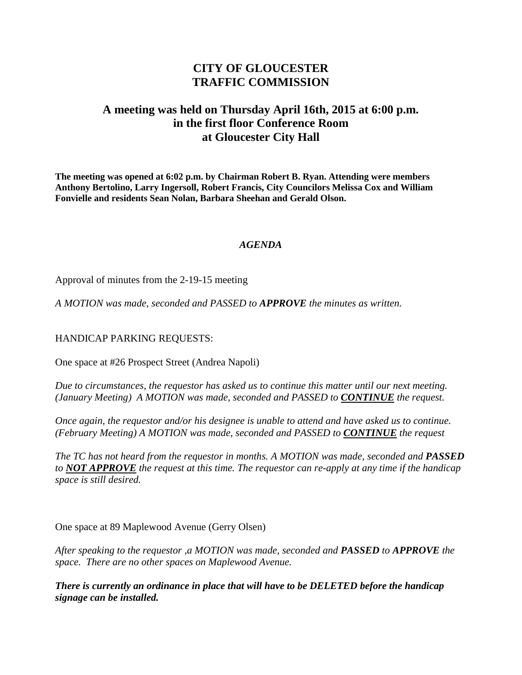# **CITY OF GLOUCESTER TRAFFIC COMMISSION**

## **A meeting was held on Thursday April 16th, 2015 at 6:00 p.m. in the first floor Conference Room at Gloucester City Hall**

**The meeting was opened at 6:02 p.m. by Chairman Robert B. Ryan. Attending were members Anthony Bertolino, Larry Ingersoll, Robert Francis, City Councilors Melissa Cox and William Fonvielle and residents Sean Nolan, Barbara Sheehan and Gerald Olson.**

#### *AGENDA*

Approval of minutes from the 2-19-15 meeting

*A MOTION was made, seconded and PASSED to APPROVE the minutes as written.*

#### HANDICAP PARKING REQUESTS:

One space at #26 Prospect Street (Andrea Napoli)

*Due to circumstances, the requestor has asked us to continue this matter until our next meeting. (January Meeting) A MOTION was made, seconded and PASSED to CONTINUE the request.*

*Once again, the requestor and/or his designee is unable to attend and have asked us to continue. (February Meeting) A MOTION was made, seconded and PASSED to CONTINUE the request*

*The TC has not heard from the requestor in months. A MOTION was made, seconded and PASSED to NOT APPROVE the request at this time. The requestor can re-apply at any time if the handicap space is still desired.*

One space at 89 Maplewood Avenue (Gerry Olsen)

*After speaking to the requestor ,a MOTION was made, seconded and PASSED to APPROVE the space. There are no other spaces on Maplewood Avenue.*

*There is currently an ordinance in place that will have to be DELETED before the handicap signage can be installed.*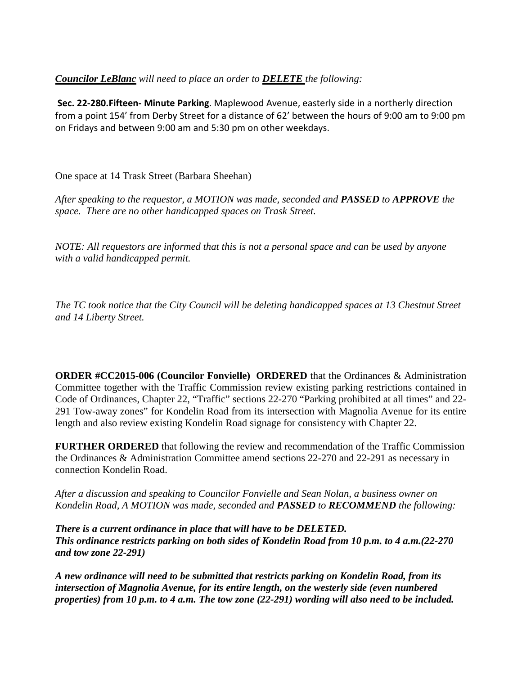### *Councilor LeBlanc will need to place an order to DELETE the following:*

**Sec. 22-280.Fifteen- Minute Parking**. Maplewood Avenue, easterly side in a northerly direction from a point 154' from Derby Street for a distance of 62' between the hours of 9:00 am to 9:00 pm on Fridays and between 9:00 am and 5:30 pm on other weekdays.

One space at 14 Trask Street (Barbara Sheehan)

*After speaking to the requestor, a MOTION was made, seconded and PASSED to APPROVE the space. There are no other handicapped spaces on Trask Street.*

*NOTE: All requestors are informed that this is not a personal space and can be used by anyone with a valid handicapped permit.*

*The TC took notice that the City Council will be deleting handicapped spaces at 13 Chestnut Street and 14 Liberty Street.*

**ORDER #CC2015-006 (Councilor Fonvielle) ORDERED** that the Ordinances & Administration Committee together with the Traffic Commission review existing parking restrictions contained in Code of Ordinances, Chapter 22, "Traffic" sections 22-270 "Parking prohibited at all times" and 22- 291 Tow-away zones" for Kondelin Road from its intersection with Magnolia Avenue for its entire length and also review existing Kondelin Road signage for consistency with Chapter 22.

**FURTHER ORDERED** that following the review and recommendation of the Traffic Commission the Ordinances & Administration Committee amend sections 22-270 and 22-291 as necessary in connection Kondelin Road.

*After a discussion and speaking to Councilor Fonvielle and Sean Nolan, a business owner on Kondelin Road, A MOTION was made, seconded and PASSED to RECOMMEND the following:*

*There is a current ordinance in place that will have to be DELETED. This ordinance restricts parking on both sides of Kondelin Road from 10 p.m. to 4 a.m.(22-270 and tow zone 22-291)*

*A new ordinance will need to be submitted that restricts parking on Kondelin Road, from its intersection of Magnolia Avenue, for its entire length, on the westerly side (even numbered properties) from 10 p.m. to 4 a.m. The tow zone (22-291) wording will also need to be included.*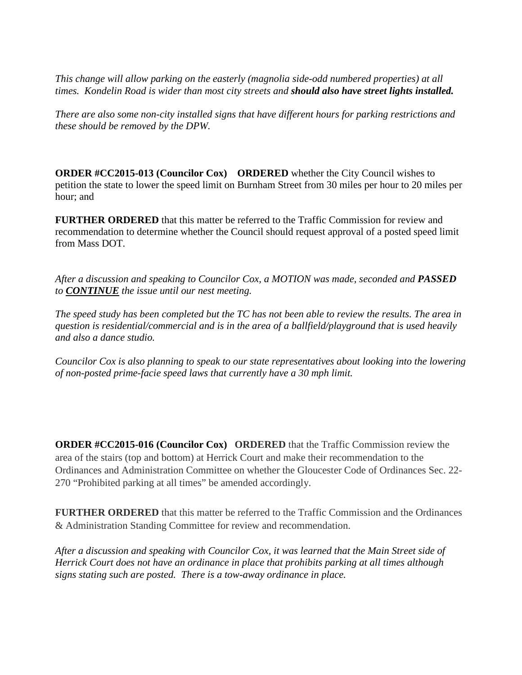*This change will allow parking on the easterly (magnolia side-odd numbered properties) at all times. Kondelin Road is wider than most city streets and should also have street lights installed.*

*There are also some non-city installed signs that have different hours for parking restrictions and these should be removed by the DPW.* 

**ORDER #CC2015-013 (Councilor Cox) ORDERED** whether the City Council wishes to petition the state to lower the speed limit on Burnham Street from 30 miles per hour to 20 miles per hour; and

**FURTHER ORDERED** that this matter be referred to the Traffic Commission for review and recommendation to determine whether the Council should request approval of a posted speed limit from Mass DOT.

*After a discussion and speaking to Councilor Cox, a MOTION was made, seconded and PASSED to CONTINUE the issue until our nest meeting.*

*The speed study has been completed but the TC has not been able to review the results. The area in question is residential/commercial and is in the area of a ballfield/playground that is used heavily and also a dance studio.* 

*Councilor Cox is also planning to speak to our state representatives about looking into the lowering of non-posted prime-facie speed laws that currently have a 30 mph limit.*

**ORDER #CC2015-016 (Councilor Cox) ORDERED** that the Traffic Commission review the area of the stairs (top and bottom) at Herrick Court and make their recommendation to the Ordinances and Administration Committee on whether the Gloucester Code of Ordinances Sec. 22- 270 "Prohibited parking at all times" be amended accordingly.

**FURTHER ORDERED** that this matter be referred to the Traffic Commission and the Ordinances & Administration Standing Committee for review and recommendation.

*After a discussion and speaking with Councilor Cox, it was learned that the Main Street side of Herrick Court does not have an ordinance in place that prohibits parking at all times although signs stating such are posted. There is a tow-away ordinance in place.*